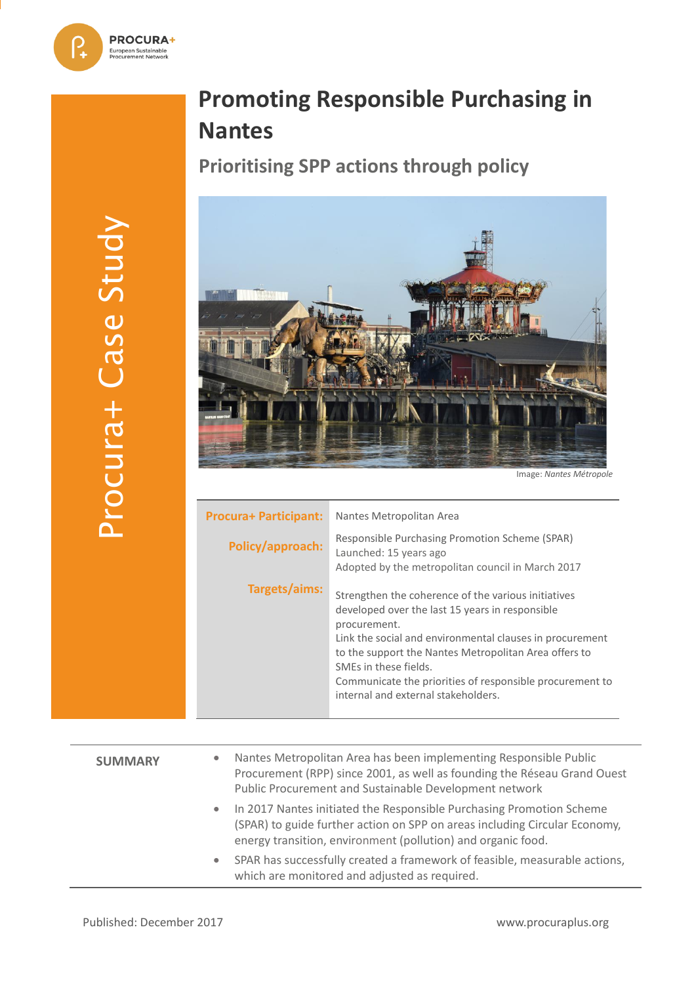# **Promoting Responsible Purchasing in Nantes**

**Prioritising SPP actions through policy**



Image: *Nantes Métropole*

| <b>Procura+ Participant:</b> | Nantes Metropolitan Area                                                                                                                                                                                                                                                                                                                                                |
|------------------------------|-------------------------------------------------------------------------------------------------------------------------------------------------------------------------------------------------------------------------------------------------------------------------------------------------------------------------------------------------------------------------|
| Policy/approach:             | Responsible Purchasing Promotion Scheme (SPAR)<br>Launched: 15 years ago<br>Adopted by the metropolitan council in March 2017                                                                                                                                                                                                                                           |
| Targets/aims:                | Strengthen the coherence of the various initiatives<br>developed over the last 15 years in responsible<br>procurement.<br>Link the social and environmental clauses in procurement<br>to the support the Nantes Metropolitan Area offers to<br>SMEs in these fields.<br>Communicate the priorities of responsible procurement to<br>internal and external stakeholders. |

| <b>SUMMARY</b> | $\bullet$ | Nantes Metropolitan Area has been implementing Responsible Public<br>Procurement (RPP) since 2001, as well as founding the Réseau Grand Ouest<br>Public Procurement and Sustainable Development network            |
|----------------|-----------|--------------------------------------------------------------------------------------------------------------------------------------------------------------------------------------------------------------------|
|                | $\bullet$ | In 2017 Nantes initiated the Responsible Purchasing Promotion Scheme<br>(SPAR) to guide further action on SPP on areas including Circular Economy,<br>energy transition, environment (pollution) and organic food. |
|                | $\bullet$ | SPAR has successfully created a framework of feasible, measurable actions,<br>which are monitored and adjusted as required.                                                                                        |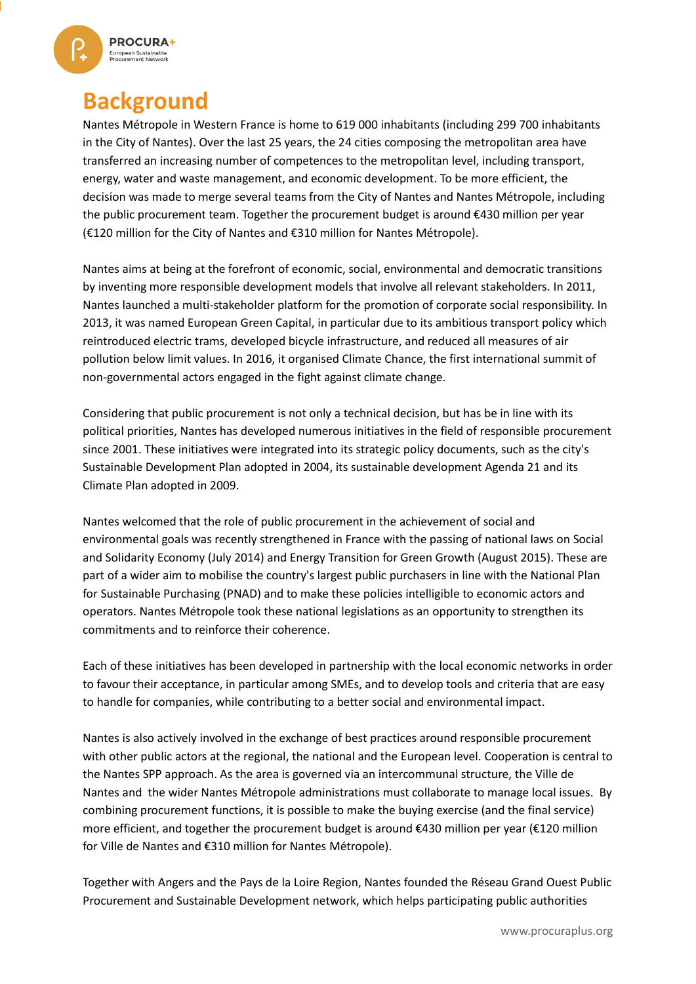

### **Background**

Nantes Métropole in Western France is home to 619 000 inhabitants (including 299 700 inhabitants in the City of Nantes). Over the last 25 years, the 24 cities composing the metropolitan area have transferred an increasing number of competences to the metropolitan level, including transport, energy, water and waste management, and economic development. To be more efficient, the decision was made to merge several teams from the City of Nantes and Nantes Métropole, including the public procurement team. Together the procurement budget is around €430 million per year (€120 million for the City of Nantes and €310 million for Nantes Métropole).

Nantes aims at being at the forefront of economic, social, environmental and democratic transitions by inventing more responsible development models that involve all relevant stakeholders. In 2011, Nantes launched a multi-stakeholder platform for the promotion of corporate social responsibility. In 2013, it was named European Green Capital, in particular due to its ambitious transport policy which reintroduced electric trams, developed bicycle infrastructure, and reduced all measures of air pollution below limit values. In 2016, it organised Climate Chance, the first international summit of non-governmental actors engaged in the fight against climate change.

Considering that public procurement is not only a technical decision, but has be in line with its political priorities, Nantes has developed numerous initiatives in the field of responsible procurement since 2001. These initiatives were integrated into its strategic policy documents, such as the city's Sustainable Development Plan adopted in 2004, its sustainable development Agenda 21 and its Climate Plan adopted in 2009.

Nantes welcomed that the role of public procurement in the achievement of social and environmental goals was recently strengthened in France with the passing of national laws on [Social](https://www.oecd.org/cfe/leed/05%20French%20Law%20on%20Social%20and%20Solidarity%20Enterprises%20FRANCE.pdf)  [and Solidarity Economy](https://www.oecd.org/cfe/leed/05%20French%20Law%20on%20Social%20and%20Solidarity%20Enterprises%20FRANCE.pdf) (July 2014) and [Energy Transition for Green Growth](http://www.gouvernement.fr/en/energy-transition) (August 2015). These are part of a wider aim to mobilise the country's largest public purchasers in line with the National Plan for Sustainable Purchasing (PNAD) and to make these policies intelligible to economic actors and operators. Nantes Métropole took these national legislations as an opportunity to strengthen its commitments and to reinforce their coherence.

Each of these initiatives has been developed in partnership with the local economic networks in order to favour their acceptance, in particular among SMEs, and to develop tools and criteria that are easy to handle for companies, while contributing to a better social and environmental impact.

Nantes is also actively involved in the exchange of best practices around responsible procurement with other public actors at the regional, the national and the European level. Cooperation is central to the Nantes SPP approach. As the area is governed via an intercommunal structure, the [Ville de](http://www.nantes.fr/home.html)  [Nantes](http://www.nantes.fr/home.html) and the wider [Nantes Métropole](http://www.nantesmetropole.fr/medias/fichier/0889-plan-climat-energiew_1318862758452.pdf?INLINE=FALSE) administrations must collaborate to manage local issues. By combining procurement functions, it is possible to make the buying exercise (and the final service) more efficient, and together the procurement budget is around €430 million per year (€120 million for Ville de Nantes and €310 million for Nantes Métropole).

Together with Angers and the Pays de la Loire Region, Nantes founded the [Réseau Grand Ouest Public](http://www.reseaugrandouest.fr/)  [Procurement and Sustainable Development](http://www.reseaugrandouest.fr/) network, which helps participating public authorities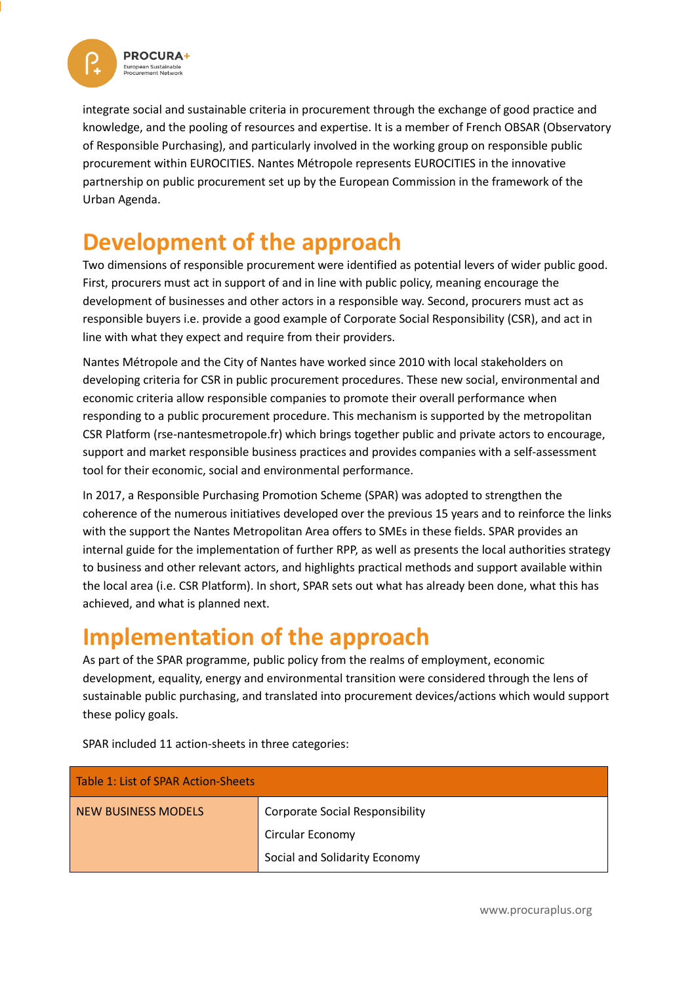

integrate social and sustainable criteria in procurement through the exchange of good practice and knowledge, and the pooling of resources and expertise. It is a member of French OBSAR (Observatory of Responsible Purchasing), and particularly involved in the working group on responsible public procurement within EUROCITIES. Nantes Métropole represents EUROCITIES in the innovative partnership on public procurement set up by the European Commission in the framework of the Urban Agenda.

## **Development of the approach**

Two dimensions of responsible procurement were identified as potential levers of wider public good. First, procurers must act in support of and in line with public policy, meaning encourage the development of businesses and other actors in a responsible way. Second, procurers must act as responsible buyers i.e. provide a good example of Corporate Social Responsibility (CSR), and act in line with what they expect and require from their providers.

Nantes Métropole and the City of Nantes have worked since 2010 with local stakeholders on developing criteria for CSR in public procurement procedures. These new social, environmental and economic criteria allow responsible companies to promote their overall performance when responding to a public procurement procedure. This mechanism is supported by the metropolitan CSR Platform (rse-nantesmetropole.fr) which brings together public and private actors to encourage, support and market responsible business practices and provides companies with a self-assessment tool for their economic, social and environmental performance.

In 2017, a Responsible Purchasing Promotion Scheme (SPAR) was adopted to strengthen the coherence of the numerous initiatives developed over the previous 15 years and to reinforce the links with the support the Nantes Metropolitan Area offers to SMEs in these fields. SPAR provides an internal guide for the implementation of further RPP, as well as presents the local authorities strategy to business and other relevant actors, and highlights practical methods and support available within the local area (i.e. CSR Platform). In short, SPAR sets out what has already been done, what this has achieved, and what is planned next.

### **Implementation of the approach**

As part of the SPAR programme, public policy from the realms of employment, economic development, equality, energy and environmental transition were considered through the lens of sustainable public purchasing, and translated into procurement devices/actions which would support these policy goals.

| Table 1: List of SPAR Action-Sheets |                                        |  |  |  |
|-------------------------------------|----------------------------------------|--|--|--|
| NEW BUSINESS MODELS                 | <b>Corporate Social Responsibility</b> |  |  |  |
|                                     | Circular Economy                       |  |  |  |
|                                     | Social and Solidarity Economy          |  |  |  |

SPAR included 11 action-sheets in three categories:

www.procuraplus.org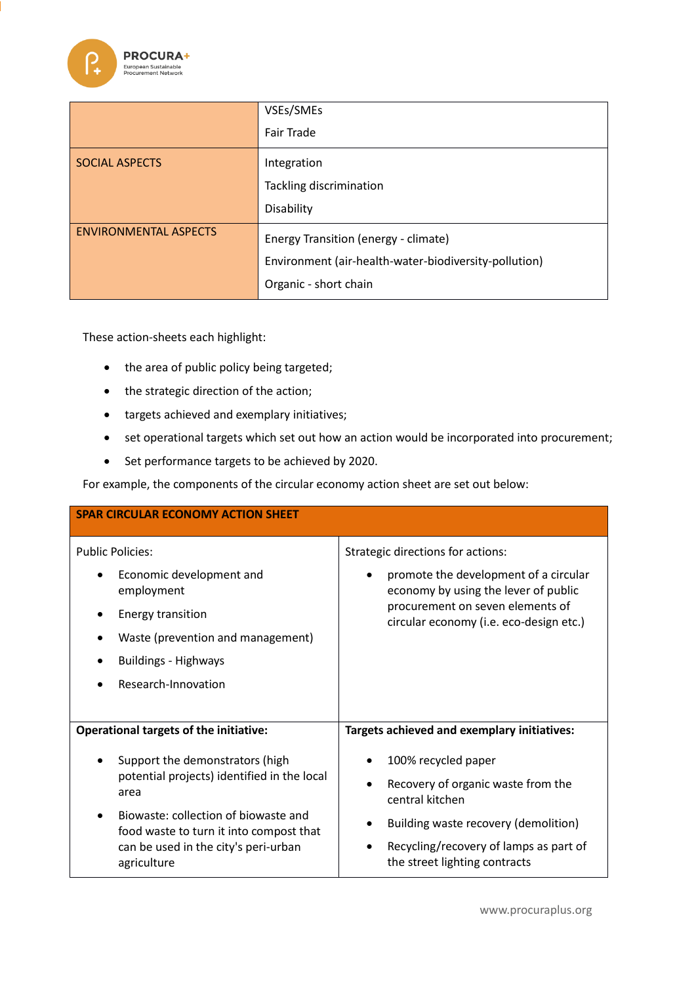

|                              | VSEs/SMEs                                             |
|------------------------------|-------------------------------------------------------|
|                              | Fair Trade                                            |
| <b>SOCIAL ASPECTS</b>        | Integration                                           |
|                              | Tackling discrimination                               |
|                              | Disability                                            |
| <b>ENVIRONMENTAL ASPECTS</b> | Energy Transition (energy - climate)                  |
|                              | Environment (air-health-water-biodiversity-pollution) |
|                              | Organic - short chain                                 |

These action-sheets each highlight:

- the area of public policy being targeted;
- the strategic direction of the action;
- targets achieved and exemplary initiatives;
- set operational targets which set out how an action would be incorporated into procurement;
- Set performance targets to be achieved by 2020.

For example, the components of the circular economy action sheet are set out below:

| <b>SPAR CIRCULAR ECONOMY ACTION SHEET</b>                                       |                                                                                            |  |  |  |  |
|---------------------------------------------------------------------------------|--------------------------------------------------------------------------------------------|--|--|--|--|
| <b>Public Policies:</b>                                                         | Strategic directions for actions:                                                          |  |  |  |  |
| Economic development and<br>٠<br>employment                                     | promote the development of a circular<br>$\bullet$<br>economy by using the lever of public |  |  |  |  |
| <b>Energy transition</b>                                                        | procurement on seven elements of<br>circular economy (i.e. eco-design etc.)                |  |  |  |  |
| Waste (prevention and management)                                               |                                                                                            |  |  |  |  |
| <b>Buildings - Highways</b>                                                     |                                                                                            |  |  |  |  |
| Research-Innovation                                                             |                                                                                            |  |  |  |  |
|                                                                                 |                                                                                            |  |  |  |  |
| <b>Operational targets of the initiative:</b>                                   | Targets achieved and exemplary initiatives:                                                |  |  |  |  |
| Support the demonstrators (high                                                 | 100% recycled paper                                                                        |  |  |  |  |
| potential projects) identified in the local<br>area                             | Recovery of organic waste from the<br>central kitchen                                      |  |  |  |  |
| Biowaste: collection of biowaste and<br>food waste to turn it into compost that | Building waste recovery (demolition)                                                       |  |  |  |  |
| can be used in the city's peri-urban<br>agriculture                             | Recycling/recovery of lamps as part of<br>the street lighting contracts                    |  |  |  |  |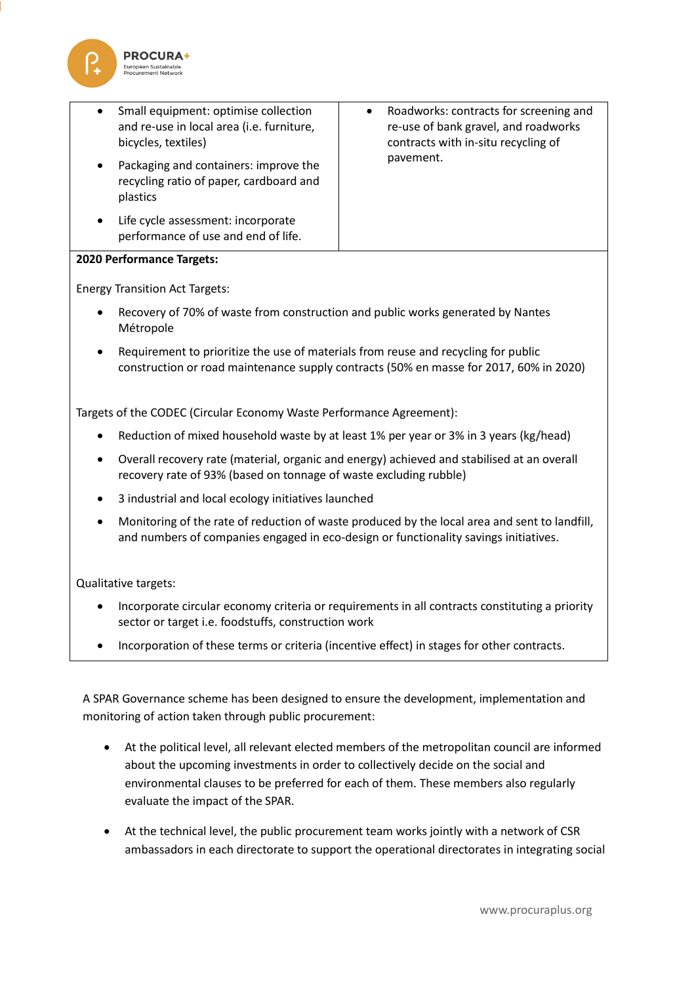

 Small equipment: optimise collection and re-use in local area (i.e. furniture, bicycles, textiles) Packaging and containers: improve the recycling ratio of paper, cardboard and plastics Life cycle assessment: incorporate performance of use and end of life. Roadworks: contracts for screening and re-use of bank gravel, and roadworks contracts with in-situ recycling of pavement.

#### **2020 Performance Targets:**

Energy Transition Act Targets:

- Recovery of 70% of waste from construction and public works generated by Nantes Métropole
- Requirement to prioritize the use of materials from reuse and recycling for public construction or road maintenance supply contracts (50% en masse for 2017, 60% in 2020)

Targets of the CODEC (Circular Economy Waste Performance Agreement):

- Reduction of mixed household waste by at least 1% per year or 3% in 3 years (kg/head)
- Overall recovery rate (material, organic and energy) achieved and stabilised at an overall recovery rate of 93% (based on tonnage of waste excluding rubble)
- 3 industrial and local ecology initiatives launched
- Monitoring of the rate of reduction of waste produced by the local area and sent to landfill, and numbers of companies engaged in eco-design or functionality savings initiatives.

Qualitative targets:

- Incorporate circular economy criteria or requirements in all contracts constituting a priority sector or target i.e. foodstuffs, construction work
- Incorporation of these terms or criteria (incentive effect) in stages for other contracts.

A SPAR Governance scheme has been designed to ensure the development, implementation and monitoring of action taken through public procurement:

- At the political level, all relevant elected members of the metropolitan council are informed about the upcoming investments in order to collectively decide on the social and environmental clauses to be preferred for each of them. These members also regularly evaluate the impact of the SPAR.
- At the technical level, the public procurement team works jointly with a network of CSR ambassadors in each directorate to support the operational directorates in integrating social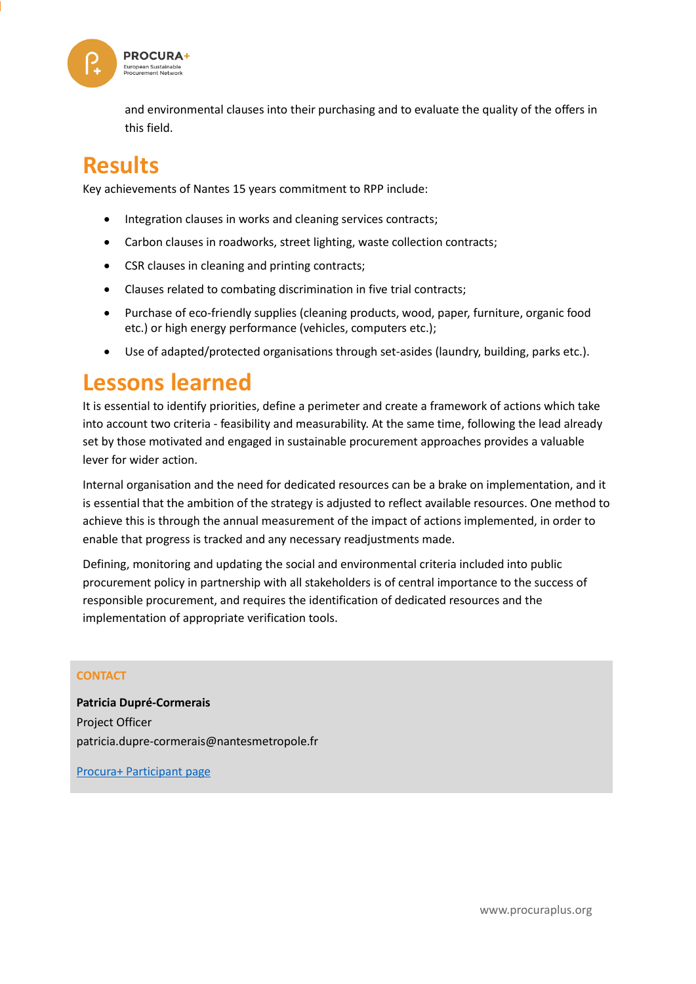

and environmental clauses into their purchasing and to evaluate the quality of the offers in this field.

### **Results**

Key achievements of Nantes 15 years commitment to RPP include:

- Integration clauses in works and cleaning services contracts;
- Carbon clauses in roadworks, street lighting, waste collection contracts;
- CSR clauses in cleaning and printing contracts;
- Clauses related to combating discrimination in five trial contracts;
- Purchase of eco-friendly supplies (cleaning products, wood, paper, furniture, organic food etc.) or high energy performance (vehicles, computers etc.);
- Use of adapted/protected organisations through set-asides (laundry, building, parks etc.).

#### **Lessons learned**

It is essential to identify priorities, define a perimeter and create a framework of actions which take into account two criteria - feasibility and measurability. At the same time, following the lead already set by those motivated and engaged in sustainable procurement approaches provides a valuable lever for wider action.

Internal organisation and the need for dedicated resources can be a brake on implementation, and it is essential that the ambition of the strategy is adjusted to reflect available resources. One method to achieve this is through the annual measurement of the impact of actions implemented, in order to enable that progress is tracked and any necessary readjustments made.

Defining, monitoring and updating the social and environmental criteria included into public procurement policy in partnership with all stakeholders is of central importance to the success of responsible procurement, and requires the identification of dedicated resources and the implementation of appropriate verification tools.

#### **CONTACT**

**Patricia Dupré-Cormerais** Project Officer patricia.dupre-cormerais@nantesmetropole.fr

[Procura+ Participant page](http://www.procuraplus.org/participants/public-authorities/nantes/)